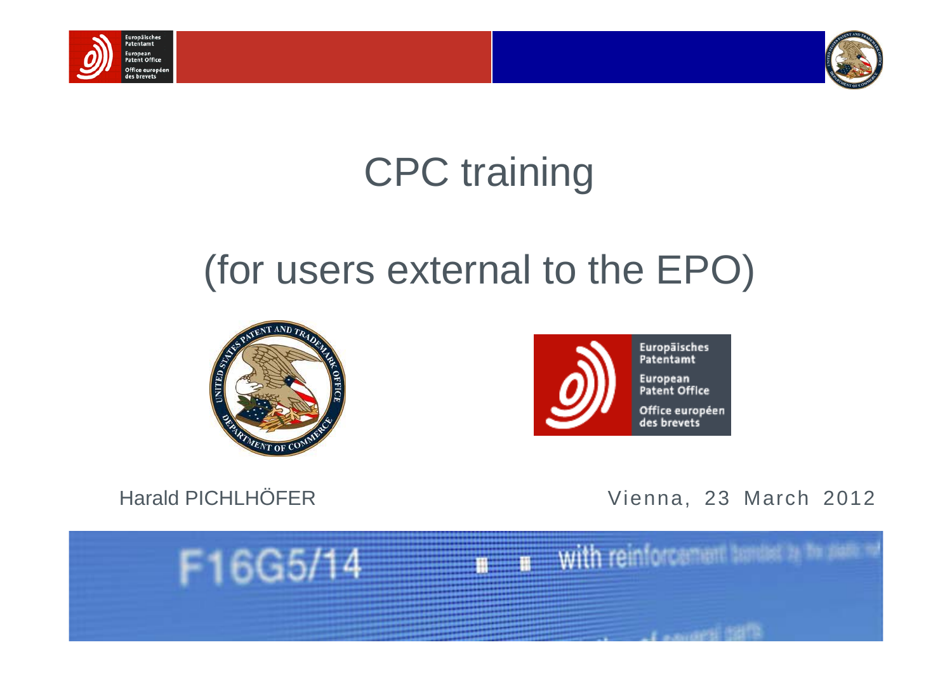



# CPC training

# (for users external to the EPO)





Harald PICHLHÖFER Vienna, 23 March 2012

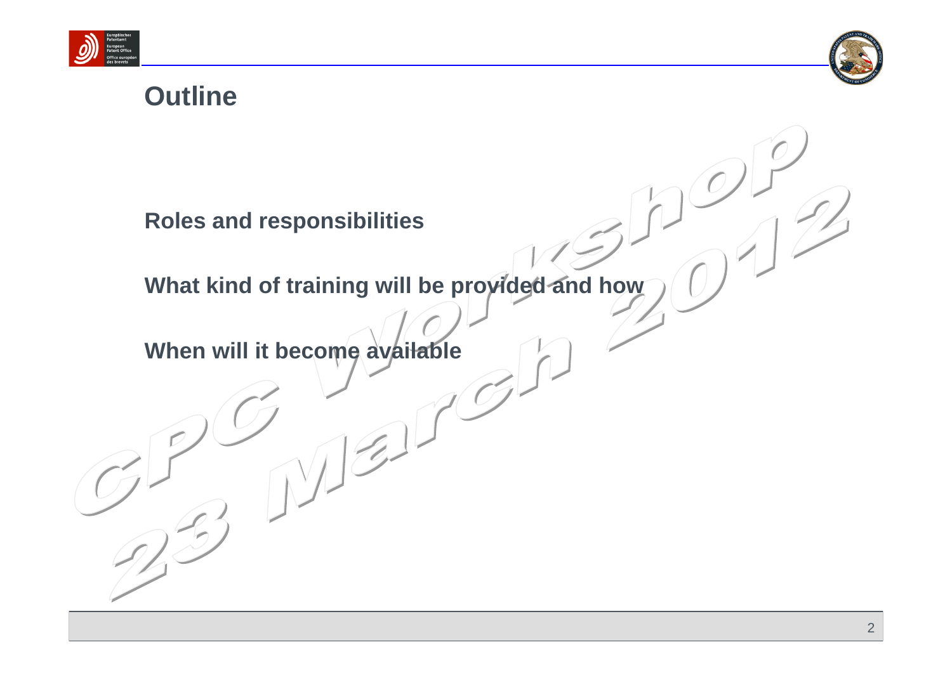



#### **Outline**

**Roles and responsibilities**

**What kind of training will be provided and how**

**When will it become available**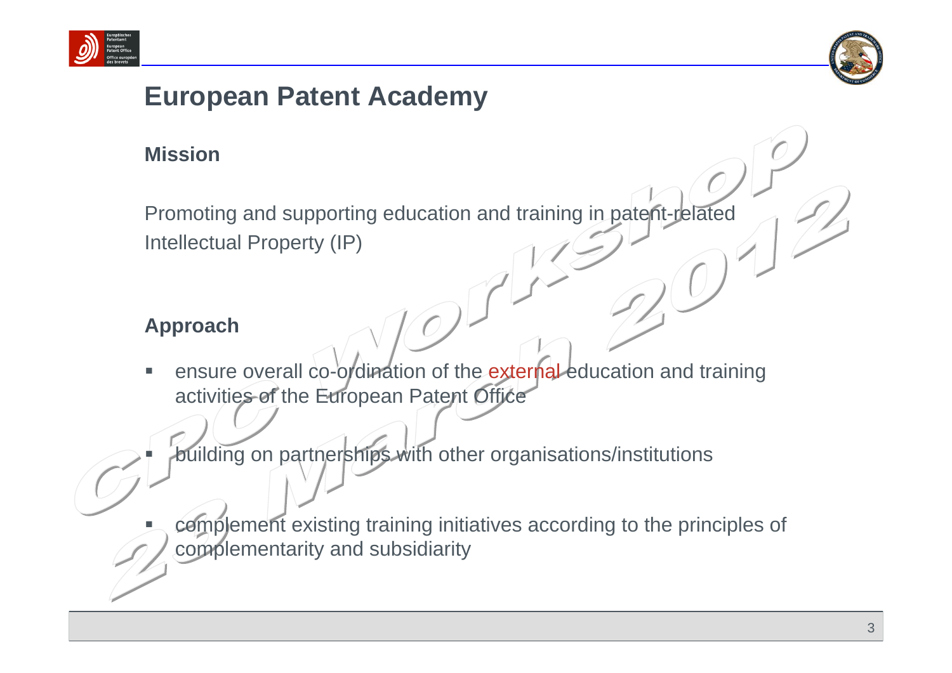



#### **European Patent Academy**

#### **Mission**

Promoting and supporting education and training in patent-related Intellectual Property (IP)

#### **Approach**

■

■

■ ensure overall co-ordination of the external education and training activities of the European Patent Office

building on partnerships with other organisations/institutions

 complement existing training initiatives according to the principles of complementarity and subsidiarity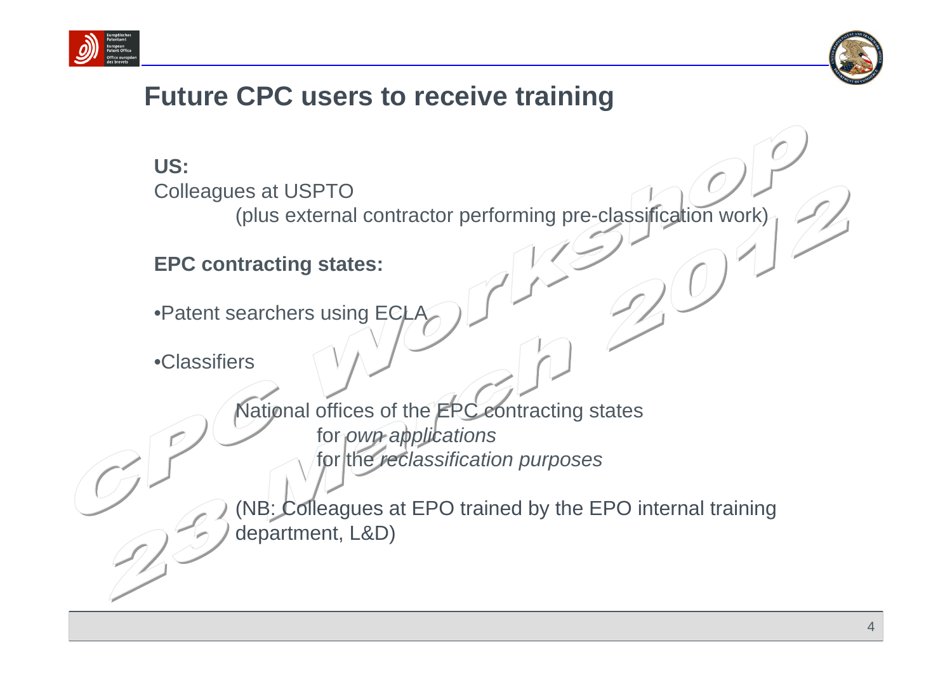



#### **Future CPC users to receive training**

#### **US:**  Colleagues at USPTO

(plus external contractor performing pre-classification work)

#### **EPC contracting states:**

•Patent searchers using ECL

•Classifiers

National offices of the **EPC** contracting states for *own applications* for the *reclassification purposes*

(NB: Colleagues at EPO trained by the EPO internal training department, L&D)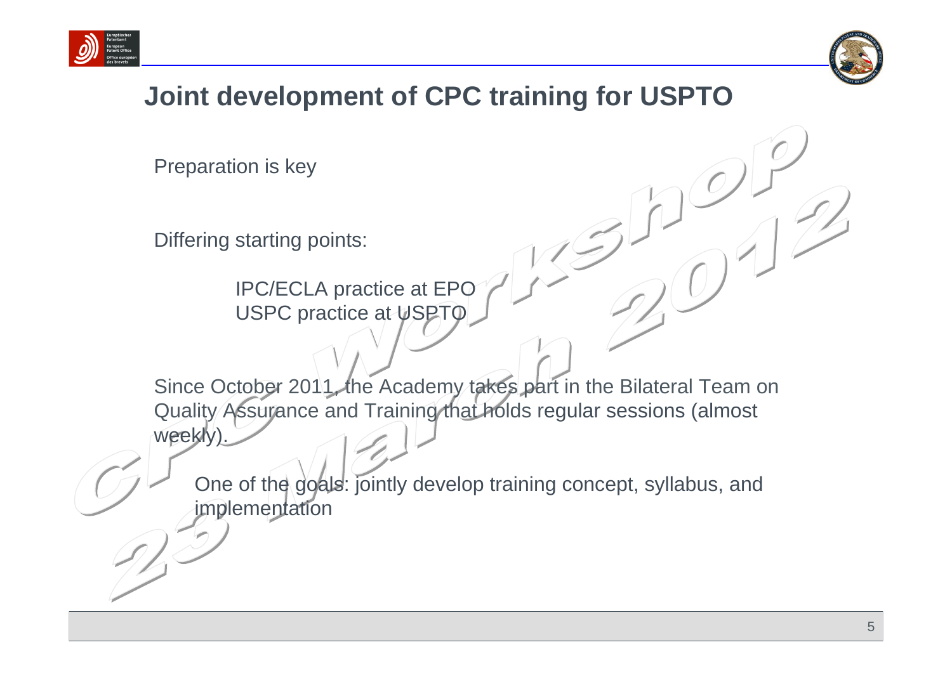



### **Joint development of CPC training for USPTO**

Preparation is key

Differing starting points:

IPC/ECLA practice at EPO USPC practice at USPTO

Since October 2011, the Academy takes part in the Bilateral Team on Quality Assurance and Training that holds regular sessions (almost weekly)

One of the goals: jointly develop training concept, syllabus, and implementation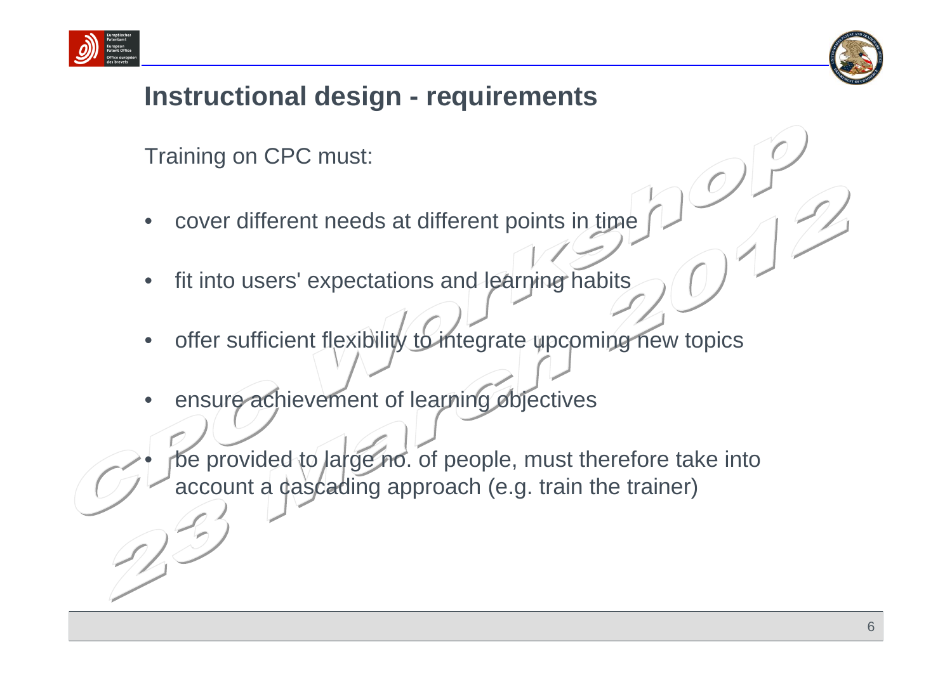



### **Instructional design - requirements**

Training on CPC must:

- cover different needs at different points in time
- fit into users' expectations and learning habits
- offer sufficient flexibility to integrate upcoming new topics
- ensure achievement of learning objectives

be provided to large no. of people, must therefore take into account a cascading approach (e.g. train the trainer)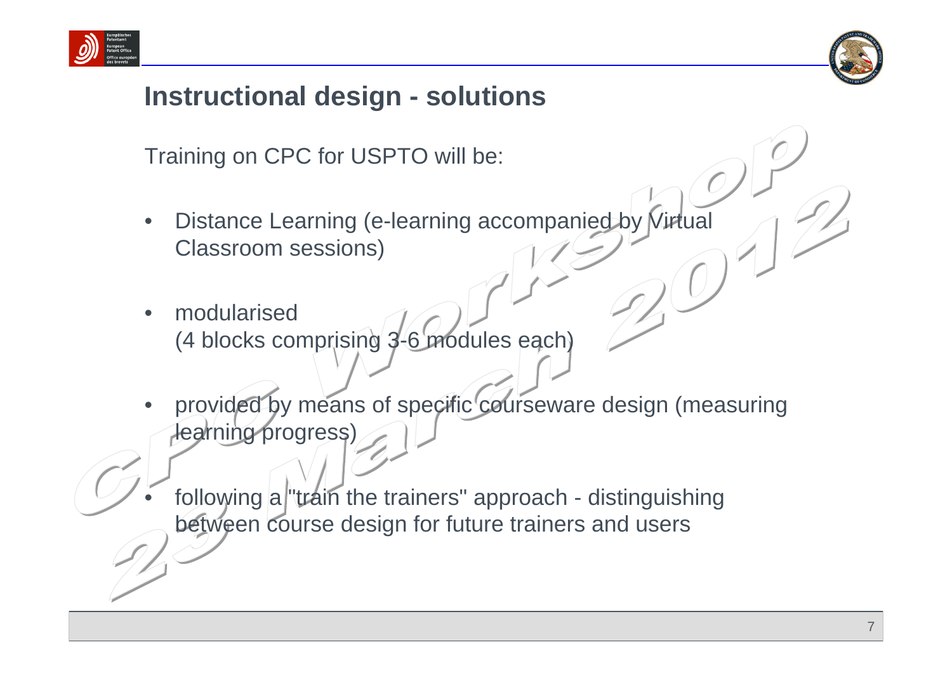



#### **Instructional design - solutions**

Training on CPC for USPTO will be:

- Distance Learning (e-learning accompanied by Virtual Classroom sessions)
- modularised (4 blocks comprising 3-6 modules each)
- provided by means of specific courseware design (measuring learning progress)

following a "train the trainers" approach - distinguishing between course design for future trainers and users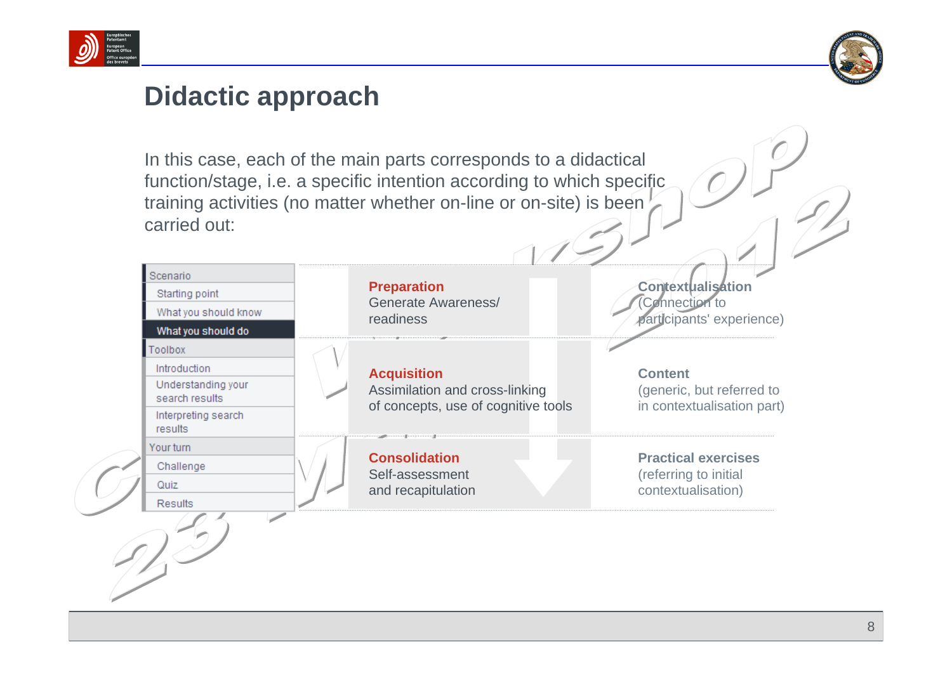



#### **Didactic approach**

In this case, each of the main parts corresponds to a didactical function/stage, i.e. a specific intention according to which specific training activities (no matter whether on-line or on-site) is been carried out:

| <b>Preparation</b><br>Generate Awareness/                                                   | <b>Contextualisation</b><br>Connection to<br>participants' experience)    |  |
|---------------------------------------------------------------------------------------------|---------------------------------------------------------------------------|--|
|                                                                                             |                                                                           |  |
| <b>Acquisition</b><br>Assimilation and cross-linking<br>of concepts, use of cognitive tools | <b>Content</b><br>(generic, but referred to<br>in contextualisation part) |  |
|                                                                                             |                                                                           |  |
| <b>Consolidation</b><br>Self-assessment<br>and recapitulation                               | <b>Practical exercises</b><br>(referring to initial<br>contextualisation) |  |
|                                                                                             | readiness                                                                 |  |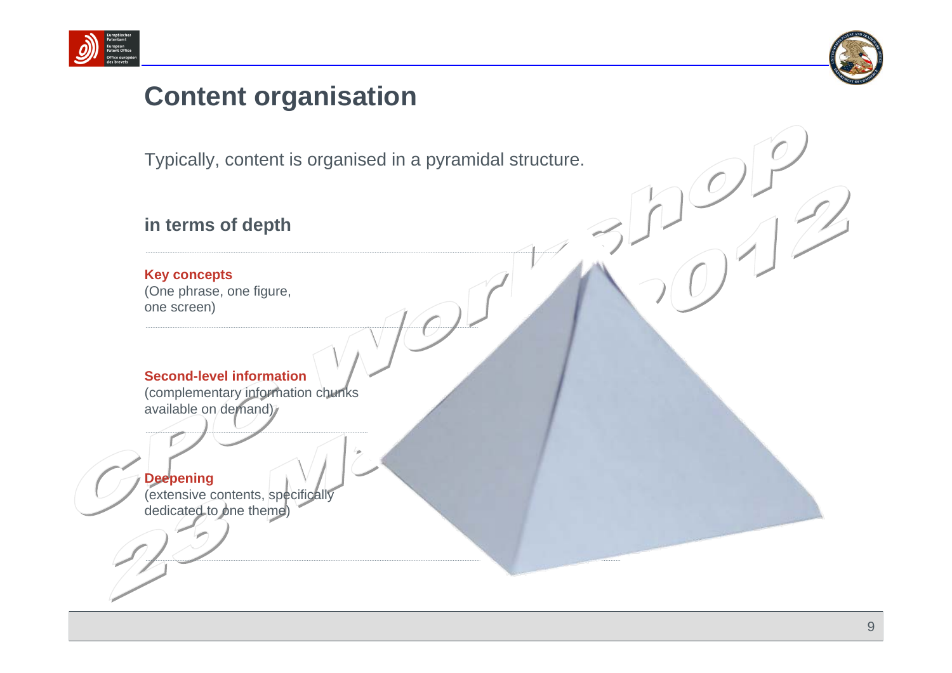



#### **Content organisation**

Typically, content is organised in a pyramidal structure.

**in terms of depth**

#### **Key concepts**

(One phrase, one figure, one screen)

#### **Second-level information**

(complementary information chunks available on demand)

#### **Deepening**

(extensive contents, specifically dedicated to one theme)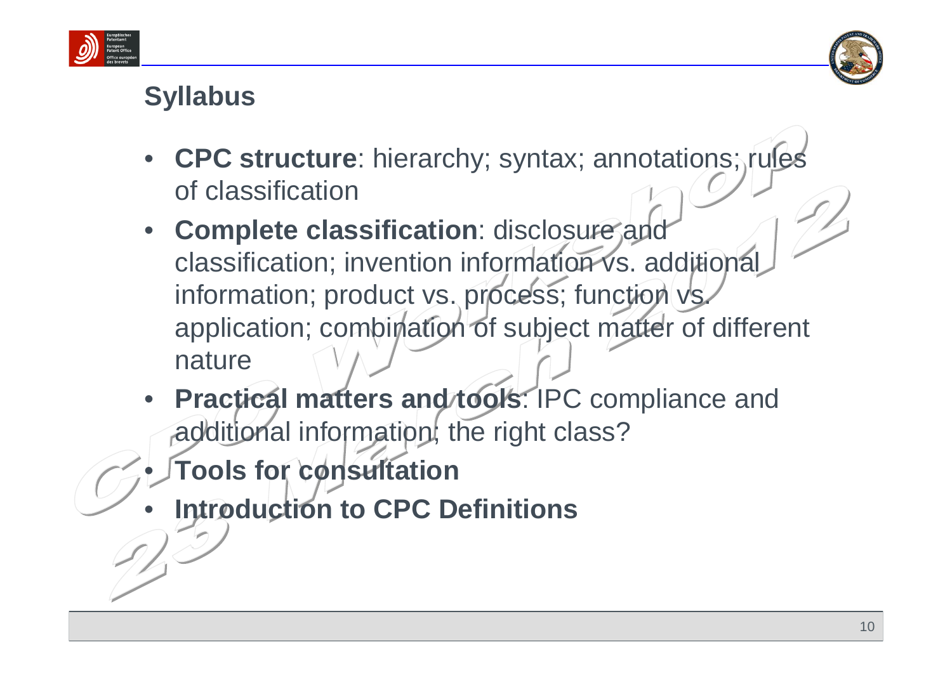



## **Syllabus**

- **CPC structure**: hierarchy; syntax; annotations; rules of classification
- **Complete classification**: disclosure and classification; invention information vs. additional information; product vs. process; function vs. application; combination of subject matter of different nature
- **Practical matters and tools**: IPC compliance and additional information; the right class?
- **Tools for consultation**
- **Introduction to CPC Definitions**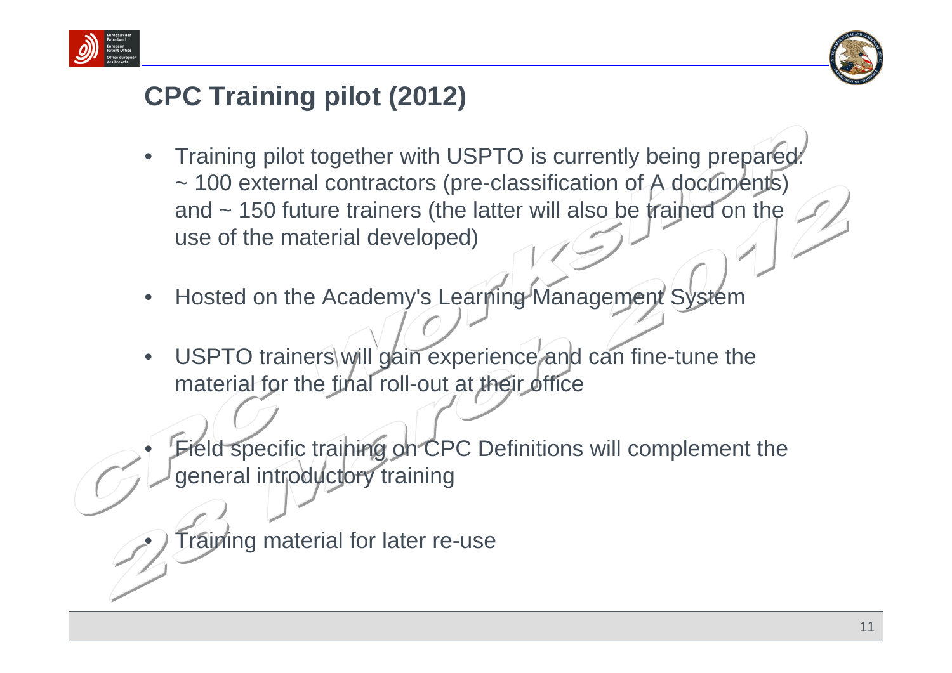



### **CPC Training pilot (2012)**

- Training pilot together with USPTO is currently being prepared: ~ 100 external contractors (pre-classification of A documents) and ~ 150 future trainers (the latter will also be trained on the use of the material developed)
- Hosted on the Academy's Learning Management System
- USPTO trainers will gain experience and can fine-tune the material for the final roll-out at their office

Field specific training on CPC Definitions will complement the general introductory training

**Training material for later re-use**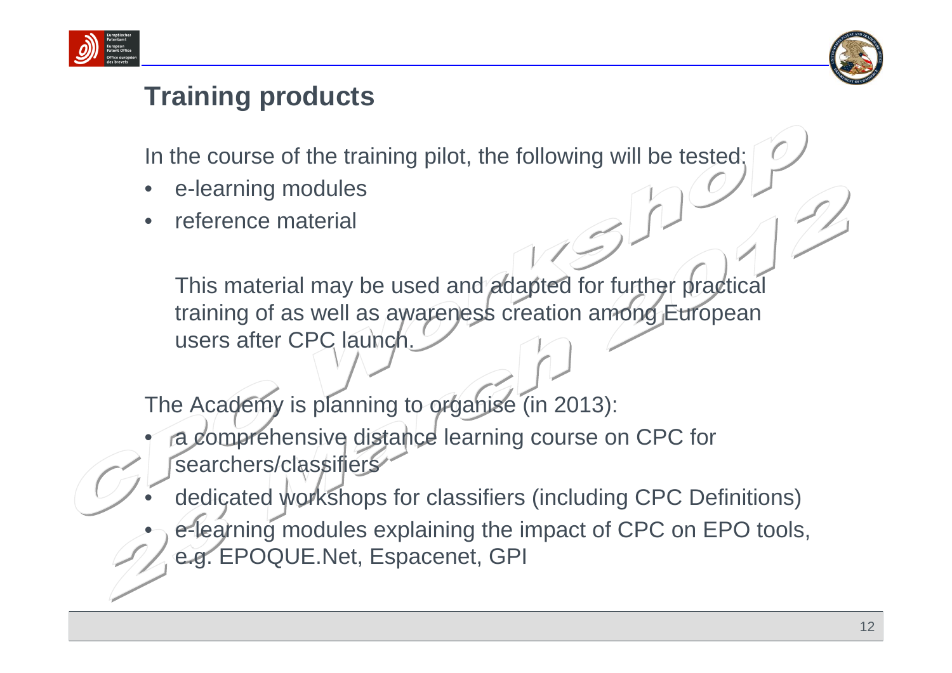



### **Training products**

In the course of the training pilot, the following will be tested:

- e-learning modules
- reference material

This material may be used and adapted for further practical training of as well as awareness creation among European users after CPC launch.

The Academy is planning to organise (in 2013):

- a comprehensive distance learning course on CPC for searchers/classifiers
- dedicated workshops for classifiers (including CPC Definitions)
- e-learning modules explaining the impact of CPC on EPO tools, e.g. EPOQUE.Net, Espacenet, GPI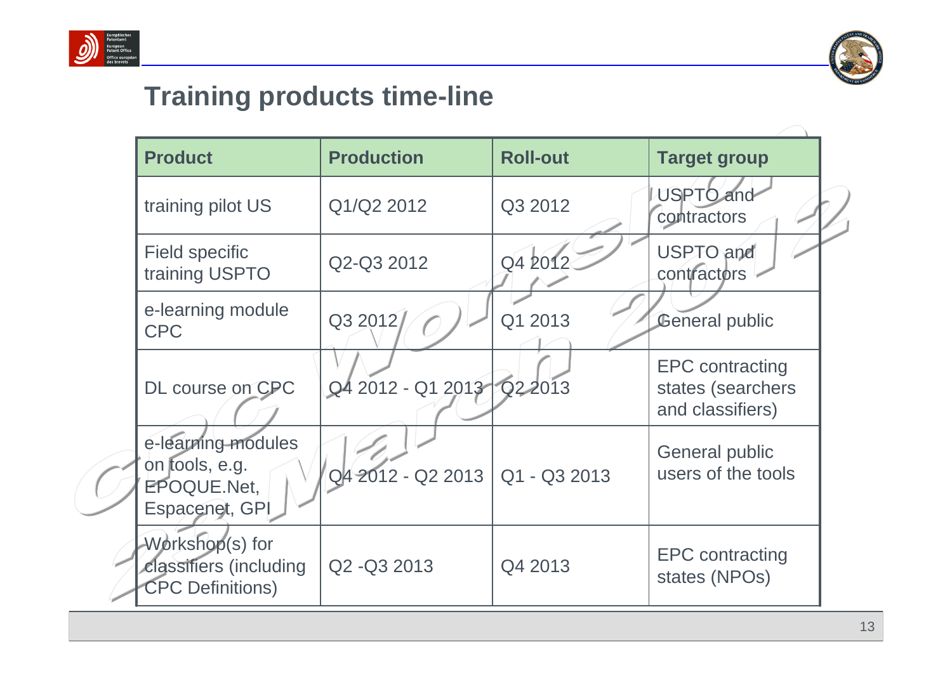



### **Training products time-line**

| <b>Product</b>                                                        | <b>Production</b>                | <b>Roll-out</b> | <b>Target group</b>                                             |
|-----------------------------------------------------------------------|----------------------------------|-----------------|-----------------------------------------------------------------|
| training pilot US                                                     | Q1/Q2 2012                       | Q3 2012         | <b>USPTO</b> and<br>contractors                                 |
| <b>Field specific</b><br>training USPTO                               | Q2-Q3 2012                       | Q4 2012         | USPTO and<br>contractors                                        |
| e-learning module<br><b>CPC</b>                                       | Q3 2012/                         | Q1 2013         | <b>General public</b>                                           |
| DL course on CPC                                                      | Q4 2012 - Q1 2013 Q2 2013        |                 | <b>EPC</b> contracting<br>states (searchers<br>and classifiers) |
| e-learning-modules<br>on tools, e.g.<br>EPOQUE.Net,<br>Espacenet, GPI | Q4 2012 - Q2 2013   Q1 - Q3 2013 |                 | <b>General public</b><br>users of the tools                     |
| Workshop(s) for<br>classifiers (including<br><b>CPC Definitions)</b>  | Q2 - Q3 2013                     | Q4 2013         | <b>EPC</b> contracting<br>states (NPOs)                         |